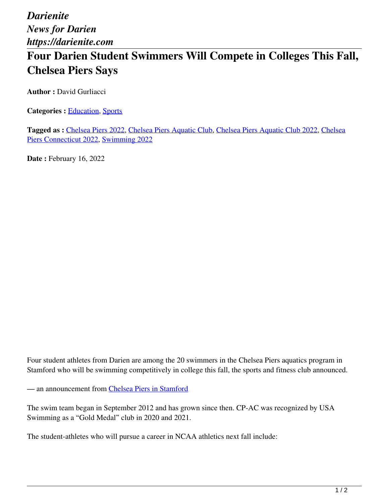*Darienite News for Darien https://darienite.com*

## **Four Darien Student Swimmers Will Compete in Colleges This Fall, Chelsea Piers Says**

**Author :** David Gurliacci

**Categories :** [Education,](https://darienite.com/category/news/education) Sports

**Tagged as :** Chelsea Piers 2022, Chelsea Piers Aquatic Club, Chelsea Piers Aquatic Club 2022, Chelsea Piers Connecticut 2022, Swimming 2022

**Date : February 16, 2022** 

Four student athletes from Darien are among the 20 swimmers in the Chelsea Piers aquatics program in Stamford who will be swimming competitively in college this fall, the sports and fitness club announced.

— an announcement from Chelsea Piers in Stamford

The swim team began in September 2012 and has grown since then. CP-AC was recognized by USA Swimming as a "Gold Medal" club in 2020 and 2021.

The student-athletes who will pursue a career in NCAA athletics next fall include: